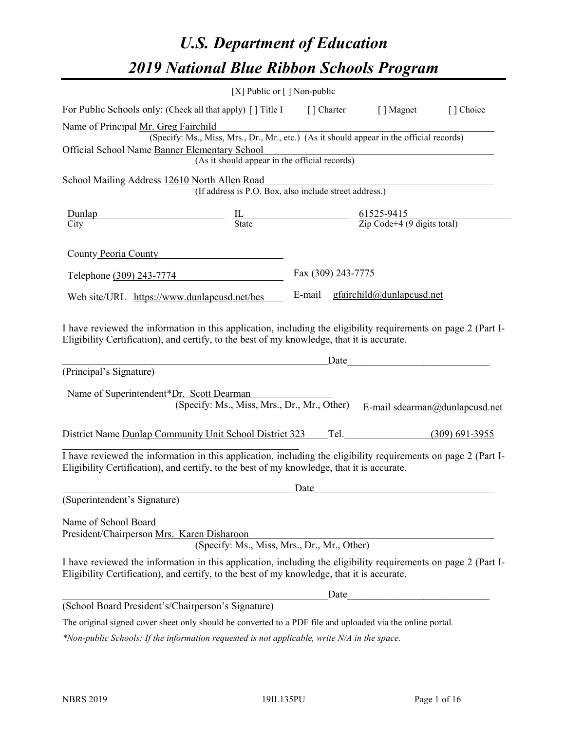# *U.S. Department of Education 2019 National Blue Ribbon Schools Program*

|                                                                                                                                                                                                              | [X] Public or $\lceil$ ] Non-public                                                                                                                                                                                                 |                    |                                  |                                |
|--------------------------------------------------------------------------------------------------------------------------------------------------------------------------------------------------------------|-------------------------------------------------------------------------------------------------------------------------------------------------------------------------------------------------------------------------------------|--------------------|----------------------------------|--------------------------------|
| For Public Schools only: (Check all that apply) [] Title I [] Charter [] Magnet [] Choice                                                                                                                    |                                                                                                                                                                                                                                     |                    |                                  |                                |
| Name of Principal Mr. Greg Fairchild                                                                                                                                                                         |                                                                                                                                                                                                                                     |                    |                                  |                                |
|                                                                                                                                                                                                              | r. Greg Fairchild<br>(Specify: Ms., Miss, Mrs., Dr., Mr., etc.) (As it should appear in the official records)                                                                                                                       |                    |                                  |                                |
| Official School Name Banner Elementary School                                                                                                                                                                | ementary School<br>(As it should appear in the official records)                                                                                                                                                                    |                    |                                  |                                |
|                                                                                                                                                                                                              |                                                                                                                                                                                                                                     |                    |                                  |                                |
| School Mailing Address 12610 North Allen Road                                                                                                                                                                |                                                                                                                                                                                                                                     |                    |                                  |                                |
|                                                                                                                                                                                                              | (If address is P.O. Box, also include street address.)                                                                                                                                                                              |                    |                                  |                                |
|                                                                                                                                                                                                              |                                                                                                                                                                                                                                     |                    |                                  |                                |
| $\frac{\text{Dunlap}}{\text{City}}$ $\frac{\text{IL}}{\text{State}}$ $\frac{61525-9415}{\text{Zip Code}+4 (9 digits total)}$                                                                                 |                                                                                                                                                                                                                                     |                    |                                  |                                |
| County Peoria County                                                                                                                                                                                         |                                                                                                                                                                                                                                     |                    |                                  |                                |
| Telephone (309) 243-7774                                                                                                                                                                                     |                                                                                                                                                                                                                                     | Fax (309) 243-7775 |                                  |                                |
| Web site/URL https://www.dunlapcusd.net/bes                                                                                                                                                                  |                                                                                                                                                                                                                                     |                    | E-mail gfairchild@dunlapcusd.net |                                |
| (Principal's Signature)                                                                                                                                                                                      | <u>Date</u> Date Date Date Design and the Date of the Second State Date of the Second State of the Second State of the Second State of the Second State of the Second State of the Second State of the Second State of the Second S |                    |                                  |                                |
|                                                                                                                                                                                                              | Name of Superintendent*Dr. Scott Dearman<br>(Specify: Ms., Miss, Mrs., Dr., Mr., Other)                                                                                                                                             |                    |                                  | E-mail sdearman@dunlapcusd.net |
| District Name Dunlap Community Unit School District 323 Tel. (309) 691-3955                                                                                                                                  |                                                                                                                                                                                                                                     |                    |                                  |                                |
| I have reviewed the information in this application, including the eligibility requirements on page 2 (Part I-<br>Eligibility Certification), and certify, to the best of my knowledge, that it is accurate. |                                                                                                                                                                                                                                     |                    |                                  |                                |
|                                                                                                                                                                                                              |                                                                                                                                                                                                                                     | Date               |                                  |                                |
|                                                                                                                                                                                                              |                                                                                                                                                                                                                                     |                    |                                  |                                |
| (Superintendent's Signature)<br>Name of School Board<br>President/Chairperson Mrs. Karen Disharoon                                                                                                           | (Specify: Ms., Miss, Mrs., Dr., Mr., Other)                                                                                                                                                                                         |                    |                                  |                                |
| I have reviewed the information in this application, including the eligibility requirements on page 2 (Part I-<br>Eligibility Certification), and certify, to the best of my knowledge, that it is accurate. |                                                                                                                                                                                                                                     |                    |                                  |                                |
|                                                                                                                                                                                                              |                                                                                                                                                                                                                                     |                    | Date                             |                                |

The original signed cover sheet only should be converted to a PDF file and uploaded via the online portal.

*\*Non-public Schools: If the information requested is not applicable, write N/A in the space.*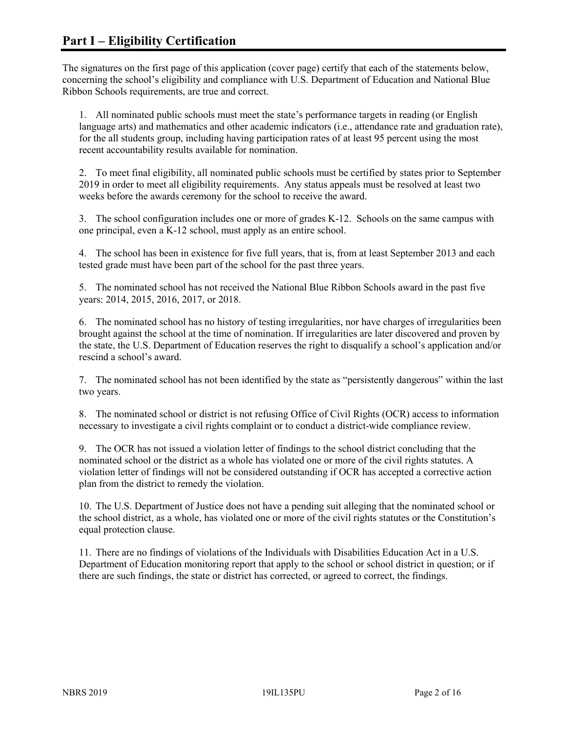The signatures on the first page of this application (cover page) certify that each of the statements below, concerning the school's eligibility and compliance with U.S. Department of Education and National Blue Ribbon Schools requirements, are true and correct.

1. All nominated public schools must meet the state's performance targets in reading (or English language arts) and mathematics and other academic indicators (i.e., attendance rate and graduation rate), for the all students group, including having participation rates of at least 95 percent using the most recent accountability results available for nomination.

2. To meet final eligibility, all nominated public schools must be certified by states prior to September 2019 in order to meet all eligibility requirements. Any status appeals must be resolved at least two weeks before the awards ceremony for the school to receive the award.

3. The school configuration includes one or more of grades K-12. Schools on the same campus with one principal, even a K-12 school, must apply as an entire school.

4. The school has been in existence for five full years, that is, from at least September 2013 and each tested grade must have been part of the school for the past three years.

5. The nominated school has not received the National Blue Ribbon Schools award in the past five years: 2014, 2015, 2016, 2017, or 2018.

6. The nominated school has no history of testing irregularities, nor have charges of irregularities been brought against the school at the time of nomination. If irregularities are later discovered and proven by the state, the U.S. Department of Education reserves the right to disqualify a school's application and/or rescind a school's award.

7. The nominated school has not been identified by the state as "persistently dangerous" within the last two years.

8. The nominated school or district is not refusing Office of Civil Rights (OCR) access to information necessary to investigate a civil rights complaint or to conduct a district-wide compliance review.

9. The OCR has not issued a violation letter of findings to the school district concluding that the nominated school or the district as a whole has violated one or more of the civil rights statutes. A violation letter of findings will not be considered outstanding if OCR has accepted a corrective action plan from the district to remedy the violation.

10. The U.S. Department of Justice does not have a pending suit alleging that the nominated school or the school district, as a whole, has violated one or more of the civil rights statutes or the Constitution's equal protection clause.

11. There are no findings of violations of the Individuals with Disabilities Education Act in a U.S. Department of Education monitoring report that apply to the school or school district in question; or if there are such findings, the state or district has corrected, or agreed to correct, the findings.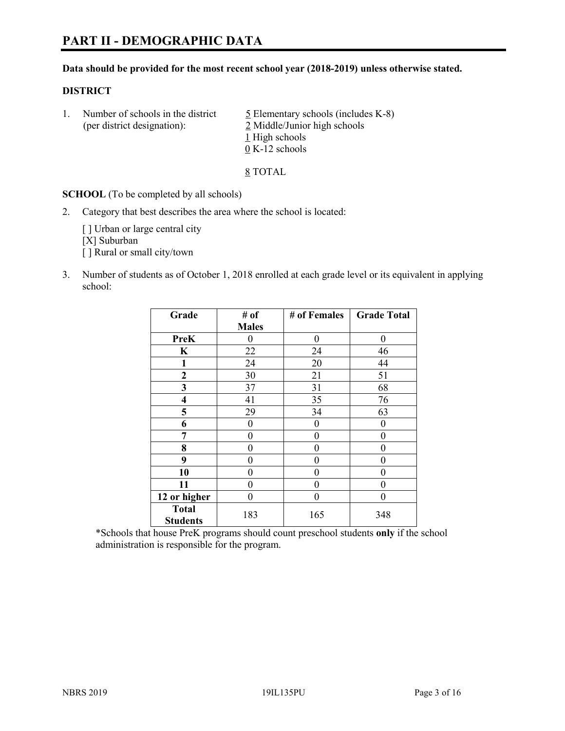#### **Data should be provided for the most recent school year (2018-2019) unless otherwise stated.**

#### **DISTRICT**

1. Number of schools in the district  $\frac{5}{2}$  Elementary schools (includes K-8) (per district designation): 2 Middle/Junior high schools 1 High schools 0 K-12 schools

8 TOTAL

**SCHOOL** (To be completed by all schools)

2. Category that best describes the area where the school is located:

[ ] Urban or large central city [X] Suburban [] Rural or small city/town

3. Number of students as of October 1, 2018 enrolled at each grade level or its equivalent in applying school:

| Grade                           | # of         | # of Females | <b>Grade Total</b> |
|---------------------------------|--------------|--------------|--------------------|
|                                 | <b>Males</b> |              |                    |
| <b>PreK</b>                     | 0            | $\theta$     | 0                  |
| K                               | 22           | 24           | 46                 |
| 1                               | 24           | 20           | 44                 |
| $\mathbf{2}$                    | 30           | 21           | 51                 |
| 3                               | 37           | 31           | 68                 |
| 4                               | 41           | 35           | 76                 |
| 5                               | 29           | 34           | 63                 |
| 6                               | 0            | $\theta$     | 0                  |
| 7                               | 0            | $\theta$     | 0                  |
| 8                               | 0            | 0            | 0                  |
| 9                               | 0            | 0            | 0                  |
| 10                              | 0            | $\theta$     | 0                  |
| 11                              | 0            | $\theta$     | 0                  |
| 12 or higher                    | 0            | $\theta$     | 0                  |
| <b>Total</b><br><b>Students</b> | 183          | 165          | 348                |

\*Schools that house PreK programs should count preschool students **only** if the school administration is responsible for the program.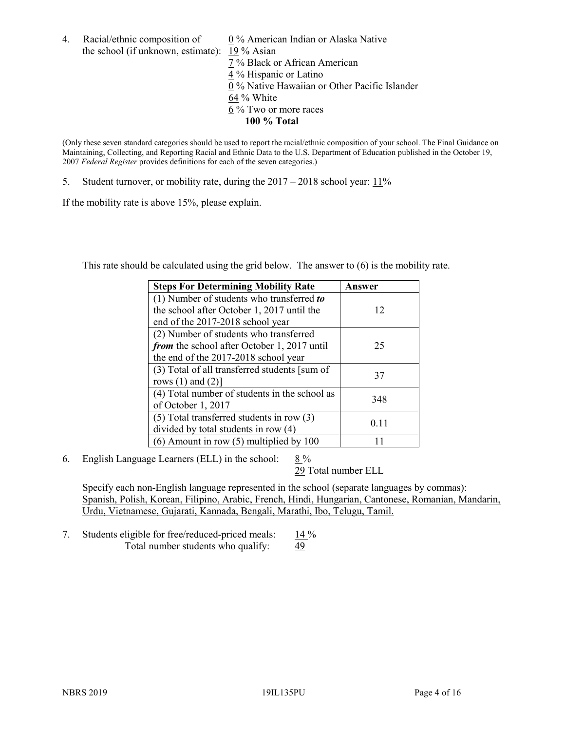4. Racial/ethnic composition of  $0\%$  American Indian or Alaska Native the school (if unknown, estimate): 19 % Asian

 % Black or African American % Hispanic or Latino % Native Hawaiian or Other Pacific Islander 64 % White % Two or more races **100 % Total**

(Only these seven standard categories should be used to report the racial/ethnic composition of your school. The Final Guidance on Maintaining, Collecting, and Reporting Racial and Ethnic Data to the U.S. Department of Education published in the October 19, 2007 *Federal Register* provides definitions for each of the seven categories.)

5. Student turnover, or mobility rate, during the 2017 – 2018 school year: 11%

If the mobility rate is above 15%, please explain.

This rate should be calculated using the grid below. The answer to (6) is the mobility rate.

| <b>Steps For Determining Mobility Rate</b>    | Answer |
|-----------------------------------------------|--------|
| (1) Number of students who transferred to     |        |
| the school after October 1, 2017 until the    | 12     |
| end of the 2017-2018 school year              |        |
| (2) Number of students who transferred        |        |
| from the school after October 1, 2017 until   | 25     |
| the end of the 2017-2018 school year          |        |
| (3) Total of all transferred students [sum of | 37     |
| rows $(1)$ and $(2)$ ]                        |        |
| (4) Total number of students in the school as |        |
| of October 1, 2017                            | 348    |
| $(5)$ Total transferred students in row $(3)$ |        |
| divided by total students in row (4)          | 0.11   |
| $(6)$ Amount in row $(5)$ multiplied by 100   |        |

6. English Language Learners (ELL) in the school:  $8\%$ 

29 Total number ELL

Specify each non-English language represented in the school (separate languages by commas): Spanish, Polish, Korean, Filipino, Arabic, French, Hindi, Hungarian, Cantonese, Romanian, Mandarin, Urdu, Vietnamese, Gujarati, Kannada, Bengali, Marathi, Ibo, Telugu, Tamil.

7. Students eligible for free/reduced-priced meals: 14 % Total number students who qualify: 49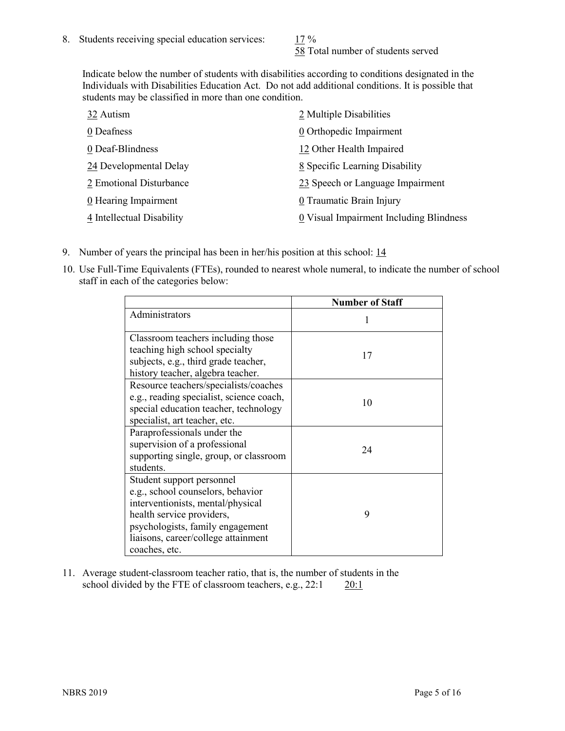58 Total number of students served

Indicate below the number of students with disabilities according to conditions designated in the Individuals with Disabilities Education Act. Do not add additional conditions. It is possible that students may be classified in more than one condition.

| 32 Autism                 | 2 Multiple Disabilities                 |
|---------------------------|-----------------------------------------|
| 0 Deafness                | 0 Orthopedic Impairment                 |
| 0 Deaf-Blindness          | 12 Other Health Impaired                |
| 24 Developmental Delay    | 8 Specific Learning Disability          |
| 2 Emotional Disturbance   | 23 Speech or Language Impairment        |
| 0 Hearing Impairment      | 0 Traumatic Brain Injury                |
| 4 Intellectual Disability | 0 Visual Impairment Including Blindness |

- 9. Number of years the principal has been in her/his position at this school: 14
- 10. Use Full-Time Equivalents (FTEs), rounded to nearest whole numeral, to indicate the number of school staff in each of the categories below:

|                                                                                                                                                                                                                              | <b>Number of Staff</b> |
|------------------------------------------------------------------------------------------------------------------------------------------------------------------------------------------------------------------------------|------------------------|
| Administrators                                                                                                                                                                                                               |                        |
| Classroom teachers including those<br>teaching high school specialty<br>subjects, e.g., third grade teacher,<br>history teacher, algebra teacher.                                                                            | 17                     |
| Resource teachers/specialists/coaches<br>e.g., reading specialist, science coach,<br>special education teacher, technology<br>specialist, art teacher, etc.                                                                  | 10                     |
| Paraprofessionals under the<br>supervision of a professional<br>supporting single, group, or classroom<br>students.                                                                                                          | 24                     |
| Student support personnel<br>e.g., school counselors, behavior<br>interventionists, mental/physical<br>health service providers,<br>psychologists, family engagement<br>liaisons, career/college attainment<br>coaches, etc. | 9                      |

11. Average student-classroom teacher ratio, that is, the number of students in the school divided by the FTE of classroom teachers, e.g.,  $22:1$  20:1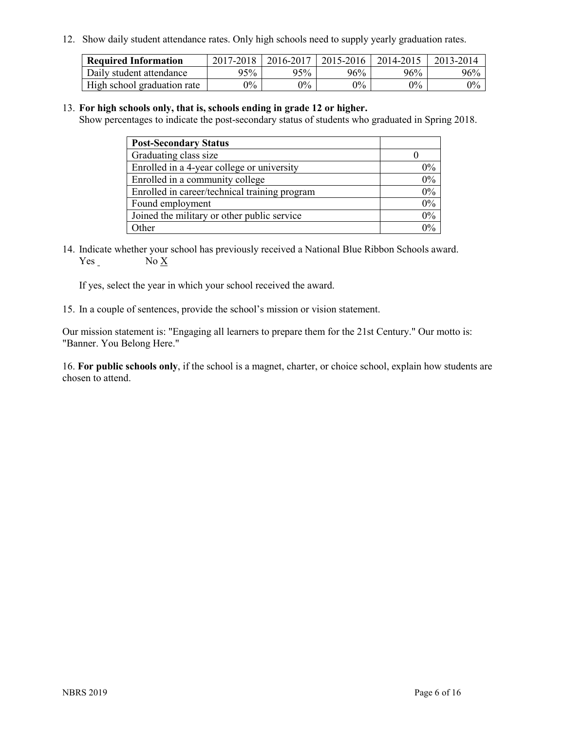12. Show daily student attendance rates. Only high schools need to supply yearly graduation rates.

| <b>Required Information</b> | 2017-2018 | 2016-2017 | 2015-2016 | 2014-2015 | 2013-2014 |
|-----------------------------|-----------|-----------|-----------|-----------|-----------|
| Daily student attendance    | 95%       | 95%       | 96%       | 96%       | 96%       |
| High school graduation rate | $0\%$     | $0\%$     | $0\%$     | $9\%$     | $0\%$     |

#### 13. **For high schools only, that is, schools ending in grade 12 or higher.**

Show percentages to indicate the post-secondary status of students who graduated in Spring 2018.

| <b>Post-Secondary Status</b>                  |       |
|-----------------------------------------------|-------|
| Graduating class size                         |       |
| Enrolled in a 4-year college or university    | $0\%$ |
| Enrolled in a community college               | 0%    |
| Enrolled in career/technical training program | 0%    |
| Found employment                              | 0%    |
| Joined the military or other public service   | 0%    |
| Other                                         | $0\%$ |

14. Indicate whether your school has previously received a National Blue Ribbon Schools award. Yes No X

If yes, select the year in which your school received the award.

15. In a couple of sentences, provide the school's mission or vision statement.

Our mission statement is: "Engaging all learners to prepare them for the 21st Century." Our motto is: "Banner. You Belong Here."

16. **For public schools only**, if the school is a magnet, charter, or choice school, explain how students are chosen to attend.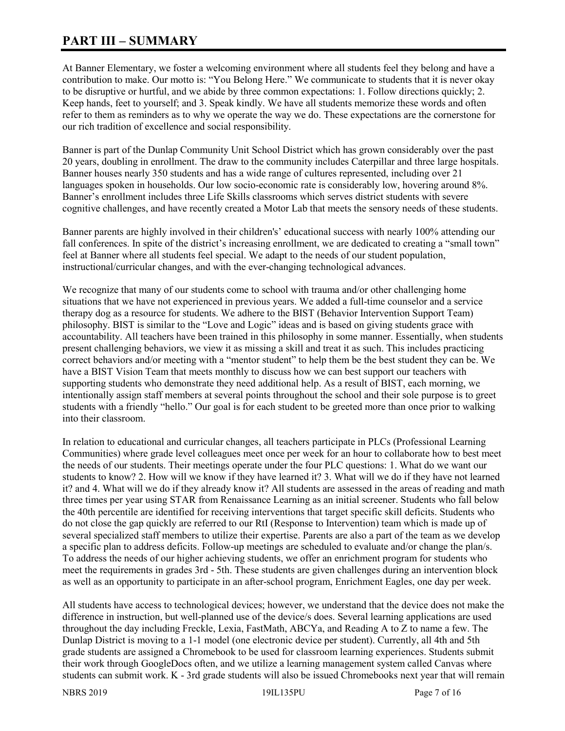# **PART III – SUMMARY**

At Banner Elementary, we foster a welcoming environment where all students feel they belong and have a contribution to make. Our motto is: "You Belong Here." We communicate to students that it is never okay to be disruptive or hurtful, and we abide by three common expectations: 1. Follow directions quickly; 2. Keep hands, feet to yourself; and 3. Speak kindly. We have all students memorize these words and often refer to them as reminders as to why we operate the way we do. These expectations are the cornerstone for our rich tradition of excellence and social responsibility.

Banner is part of the Dunlap Community Unit School District which has grown considerably over the past 20 years, doubling in enrollment. The draw to the community includes Caterpillar and three large hospitals. Banner houses nearly 350 students and has a wide range of cultures represented, including over 21 languages spoken in households. Our low socio-economic rate is considerably low, hovering around 8%. Banner's enrollment includes three Life Skills classrooms which serves district students with severe cognitive challenges, and have recently created a Motor Lab that meets the sensory needs of these students.

Banner parents are highly involved in their children's' educational success with nearly 100% attending our fall conferences. In spite of the district's increasing enrollment, we are dedicated to creating a "small town" feel at Banner where all students feel special. We adapt to the needs of our student population, instructional/curricular changes, and with the ever-changing technological advances.

We recognize that many of our students come to school with trauma and/or other challenging home situations that we have not experienced in previous years. We added a full-time counselor and a service therapy dog as a resource for students. We adhere to the BIST (Behavior Intervention Support Team) philosophy. BIST is similar to the "Love and Logic" ideas and is based on giving students grace with accountability. All teachers have been trained in this philosophy in some manner. Essentially, when students present challenging behaviors, we view it as missing a skill and treat it as such. This includes practicing correct behaviors and/or meeting with a "mentor student" to help them be the best student they can be. We have a BIST Vision Team that meets monthly to discuss how we can best support our teachers with supporting students who demonstrate they need additional help. As a result of BIST, each morning, we intentionally assign staff members at several points throughout the school and their sole purpose is to greet students with a friendly "hello." Our goal is for each student to be greeted more than once prior to walking into their classroom.

In relation to educational and curricular changes, all teachers participate in PLCs (Professional Learning Communities) where grade level colleagues meet once per week for an hour to collaborate how to best meet the needs of our students. Their meetings operate under the four PLC questions: 1. What do we want our students to know? 2. How will we know if they have learned it? 3. What will we do if they have not learned it? and 4. What will we do if they already know it? All students are assessed in the areas of reading and math three times per year using STAR from Renaissance Learning as an initial screener. Students who fall below the 40th percentile are identified for receiving interventions that target specific skill deficits. Students who do not close the gap quickly are referred to our RtI (Response to Intervention) team which is made up of several specialized staff members to utilize their expertise. Parents are also a part of the team as we develop a specific plan to address deficits. Follow-up meetings are scheduled to evaluate and/or change the plan/s. To address the needs of our higher achieving students, we offer an enrichment program for students who meet the requirements in grades 3rd - 5th. These students are given challenges during an intervention block as well as an opportunity to participate in an after-school program, Enrichment Eagles, one day per week.

All students have access to technological devices; however, we understand that the device does not make the difference in instruction, but well-planned use of the device/s does. Several learning applications are used throughout the day including Freckle, Lexia, FastMath, ABCYa, and Reading A to Z to name a few. The Dunlap District is moving to a 1-1 model (one electronic device per student). Currently, all 4th and 5th grade students are assigned a Chromebook to be used for classroom learning experiences. Students submit their work through GoogleDocs often, and we utilize a learning management system called Canvas where students can submit work. K - 3rd grade students will also be issued Chromebooks next year that will remain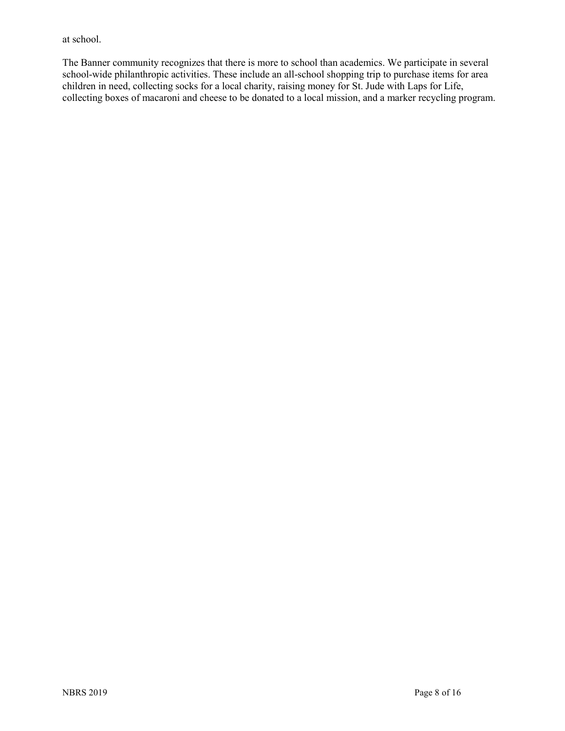at school.

The Banner community recognizes that there is more to school than academics. We participate in several school-wide philanthropic activities. These include an all-school shopping trip to purchase items for area children in need, collecting socks for a local charity, raising money for St. Jude with Laps for Life, collecting boxes of macaroni and cheese to be donated to a local mission, and a marker recycling program.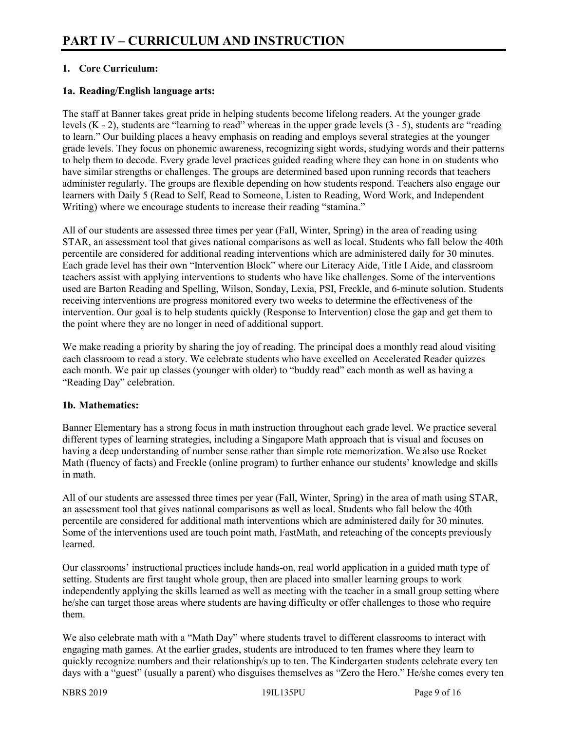# **1. Core Curriculum:**

# **1a. Reading/English language arts:**

The staff at Banner takes great pride in helping students become lifelong readers. At the younger grade levels (K - 2), students are "learning to read" whereas in the upper grade levels (3 - 5), students are "reading to learn." Our building places a heavy emphasis on reading and employs several strategies at the younger grade levels. They focus on phonemic awareness, recognizing sight words, studying words and their patterns to help them to decode. Every grade level practices guided reading where they can hone in on students who have similar strengths or challenges. The groups are determined based upon running records that teachers administer regularly. The groups are flexible depending on how students respond. Teachers also engage our learners with Daily 5 (Read to Self, Read to Someone, Listen to Reading, Word Work, and Independent Writing) where we encourage students to increase their reading "stamina."

All of our students are assessed three times per year (Fall, Winter, Spring) in the area of reading using STAR, an assessment tool that gives national comparisons as well as local. Students who fall below the 40th percentile are considered for additional reading interventions which are administered daily for 30 minutes. Each grade level has their own "Intervention Block" where our Literacy Aide, Title I Aide, and classroom teachers assist with applying interventions to students who have like challenges. Some of the interventions used are Barton Reading and Spelling, Wilson, Sonday, Lexia, PSI, Freckle, and 6-minute solution. Students receiving interventions are progress monitored every two weeks to determine the effectiveness of the intervention. Our goal is to help students quickly (Response to Intervention) close the gap and get them to the point where they are no longer in need of additional support.

We make reading a priority by sharing the joy of reading. The principal does a monthly read aloud visiting each classroom to read a story. We celebrate students who have excelled on Accelerated Reader quizzes each month. We pair up classes (younger with older) to "buddy read" each month as well as having a "Reading Day" celebration.

#### **1b. Mathematics:**

Banner Elementary has a strong focus in math instruction throughout each grade level. We practice several different types of learning strategies, including a Singapore Math approach that is visual and focuses on having a deep understanding of number sense rather than simple rote memorization. We also use Rocket Math (fluency of facts) and Freckle (online program) to further enhance our students' knowledge and skills in math.

All of our students are assessed three times per year (Fall, Winter, Spring) in the area of math using STAR, an assessment tool that gives national comparisons as well as local. Students who fall below the 40th percentile are considered for additional math interventions which are administered daily for 30 minutes. Some of the interventions used are touch point math, FastMath, and reteaching of the concepts previously learned.

Our classrooms' instructional practices include hands-on, real world application in a guided math type of setting. Students are first taught whole group, then are placed into smaller learning groups to work independently applying the skills learned as well as meeting with the teacher in a small group setting where he/she can target those areas where students are having difficulty or offer challenges to those who require them.

We also celebrate math with a "Math Day" where students travel to different classrooms to interact with engaging math games. At the earlier grades, students are introduced to ten frames where they learn to quickly recognize numbers and their relationship/s up to ten. The Kindergarten students celebrate every ten days with a "guest" (usually a parent) who disguises themselves as "Zero the Hero." He/she comes every ten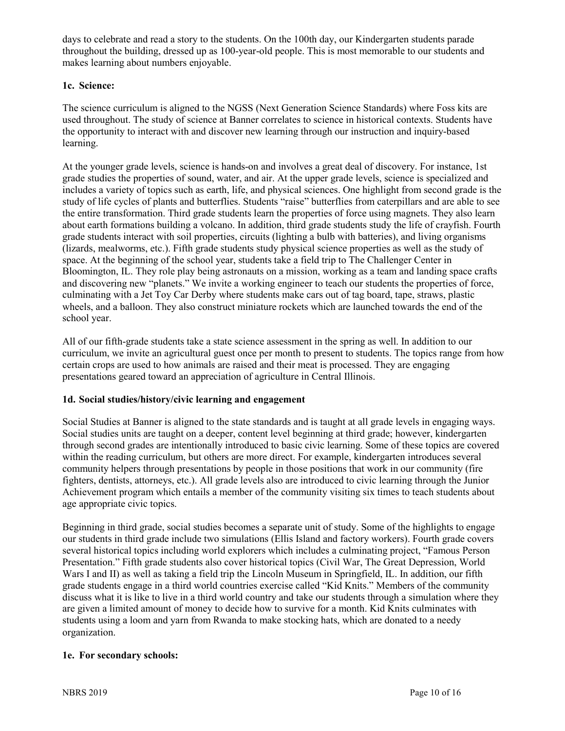days to celebrate and read a story to the students. On the 100th day, our Kindergarten students parade throughout the building, dressed up as 100-year-old people. This is most memorable to our students and makes learning about numbers enjoyable.

# **1c. Science:**

The science curriculum is aligned to the NGSS (Next Generation Science Standards) where Foss kits are used throughout. The study of science at Banner correlates to science in historical contexts. Students have the opportunity to interact with and discover new learning through our instruction and inquiry-based learning.

At the younger grade levels, science is hands-on and involves a great deal of discovery. For instance, 1st grade studies the properties of sound, water, and air. At the upper grade levels, science is specialized and includes a variety of topics such as earth, life, and physical sciences. One highlight from second grade is the study of life cycles of plants and butterflies. Students "raise" butterflies from caterpillars and are able to see the entire transformation. Third grade students learn the properties of force using magnets. They also learn about earth formations building a volcano. In addition, third grade students study the life of crayfish. Fourth grade students interact with soil properties, circuits (lighting a bulb with batteries), and living organisms (lizards, mealworms, etc.). Fifth grade students study physical science properties as well as the study of space. At the beginning of the school year, students take a field trip to The Challenger Center in Bloomington, IL. They role play being astronauts on a mission, working as a team and landing space crafts and discovering new "planets." We invite a working engineer to teach our students the properties of force, culminating with a Jet Toy Car Derby where students make cars out of tag board, tape, straws, plastic wheels, and a balloon. They also construct miniature rockets which are launched towards the end of the school year.

All of our fifth-grade students take a state science assessment in the spring as well. In addition to our curriculum, we invite an agricultural guest once per month to present to students. The topics range from how certain crops are used to how animals are raised and their meat is processed. They are engaging presentations geared toward an appreciation of agriculture in Central Illinois.

# **1d. Social studies/history/civic learning and engagement**

Social Studies at Banner is aligned to the state standards and is taught at all grade levels in engaging ways. Social studies units are taught on a deeper, content level beginning at third grade; however, kindergarten through second grades are intentionally introduced to basic civic learning. Some of these topics are covered within the reading curriculum, but others are more direct. For example, kindergarten introduces several community helpers through presentations by people in those positions that work in our community (fire fighters, dentists, attorneys, etc.). All grade levels also are introduced to civic learning through the Junior Achievement program which entails a member of the community visiting six times to teach students about age appropriate civic topics.

Beginning in third grade, social studies becomes a separate unit of study. Some of the highlights to engage our students in third grade include two simulations (Ellis Island and factory workers). Fourth grade covers several historical topics including world explorers which includes a culminating project, "Famous Person Presentation." Fifth grade students also cover historical topics (Civil War, The Great Depression, World Wars I and II) as well as taking a field trip the Lincoln Museum in Springfield, IL. In addition, our fifth grade students engage in a third world countries exercise called "Kid Knits." Members of the community discuss what it is like to live in a third world country and take our students through a simulation where they are given a limited amount of money to decide how to survive for a month. Kid Knits culminates with students using a loom and yarn from Rwanda to make stocking hats, which are donated to a needy organization.

#### **1e. For secondary schools:**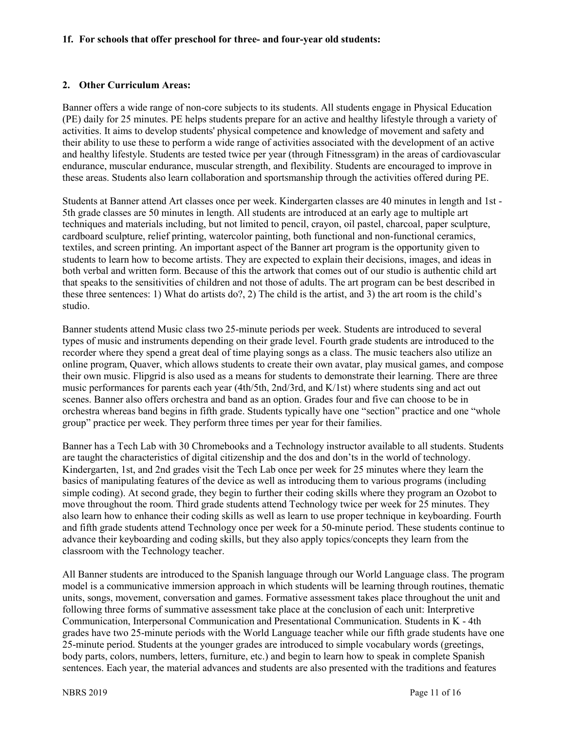#### **1f. For schools that offer preschool for three- and four-year old students:**

#### **2. Other Curriculum Areas:**

Banner offers a wide range of non-core subjects to its students. All students engage in Physical Education (PE) daily for 25 minutes. PE helps students prepare for an active and healthy lifestyle through a variety of activities. It aims to develop students' physical competence and knowledge of movement and safety and their ability to use these to perform a wide range of activities associated with the development of an active and healthy lifestyle. Students are tested twice per year (through Fitnessgram) in the areas of cardiovascular endurance, muscular endurance, muscular strength, and flexibility. Students are encouraged to improve in these areas. Students also learn collaboration and sportsmanship through the activities offered during PE.

Students at Banner attend Art classes once per week. Kindergarten classes are 40 minutes in length and 1st - 5th grade classes are 50 minutes in length. All students are introduced at an early age to multiple art techniques and materials including, but not limited to pencil, crayon, oil pastel, charcoal, paper sculpture, cardboard sculpture, relief printing, watercolor painting, both functional and non-functional ceramics, textiles, and screen printing. An important aspect of the Banner art program is the opportunity given to students to learn how to become artists. They are expected to explain their decisions, images, and ideas in both verbal and written form. Because of this the artwork that comes out of our studio is authentic child art that speaks to the sensitivities of children and not those of adults. The art program can be best described in these three sentences: 1) What do artists do?, 2) The child is the artist, and 3) the art room is the child's studio.

Banner students attend Music class two 25-minute periods per week. Students are introduced to several types of music and instruments depending on their grade level. Fourth grade students are introduced to the recorder where they spend a great deal of time playing songs as a class. The music teachers also utilize an online program, Quaver, which allows students to create their own avatar, play musical games, and compose their own music. Flipgrid is also used as a means for students to demonstrate their learning. There are three music performances for parents each year (4th/5th, 2nd/3rd, and K/1st) where students sing and act out scenes. Banner also offers orchestra and band as an option. Grades four and five can choose to be in orchestra whereas band begins in fifth grade. Students typically have one "section" practice and one "whole group" practice per week. They perform three times per year for their families.

Banner has a Tech Lab with 30 Chromebooks and a Technology instructor available to all students. Students are taught the characteristics of digital citizenship and the dos and don'ts in the world of technology. Kindergarten, 1st, and 2nd grades visit the Tech Lab once per week for 25 minutes where they learn the basics of manipulating features of the device as well as introducing them to various programs (including simple coding). At second grade, they begin to further their coding skills where they program an Ozobot to move throughout the room. Third grade students attend Technology twice per week for 25 minutes. They also learn how to enhance their coding skills as well as learn to use proper technique in keyboarding. Fourth and fifth grade students attend Technology once per week for a 50-minute period. These students continue to advance their keyboarding and coding skills, but they also apply topics/concepts they learn from the classroom with the Technology teacher.

All Banner students are introduced to the Spanish language through our World Language class. The program model is a communicative immersion approach in which students will be learning through routines, thematic units, songs, movement, conversation and games. Formative assessment takes place throughout the unit and following three forms of summative assessment take place at the conclusion of each unit: Interpretive Communication, Interpersonal Communication and Presentational Communication. Students in K - 4th grades have two 25-minute periods with the World Language teacher while our fifth grade students have one 25-minute period. Students at the younger grades are introduced to simple vocabulary words (greetings, body parts, colors, numbers, letters, furniture, etc.) and begin to learn how to speak in complete Spanish sentences. Each year, the material advances and students are also presented with the traditions and features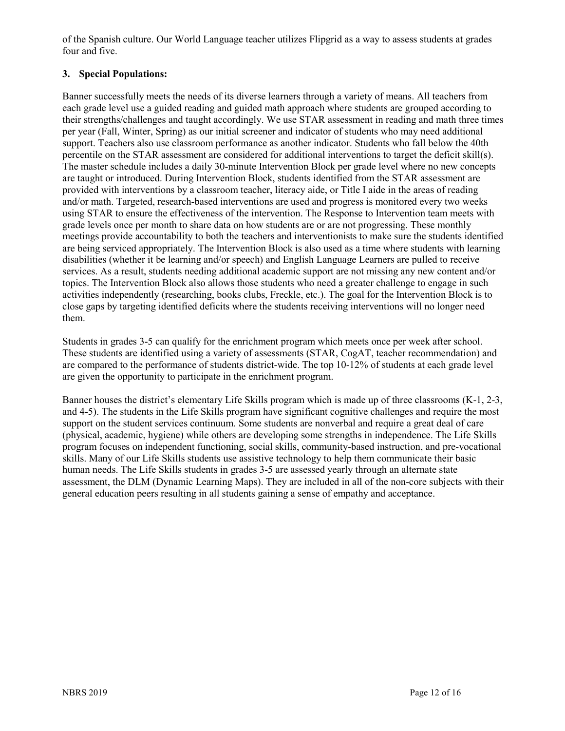of the Spanish culture. Our World Language teacher utilizes Flipgrid as a way to assess students at grades four and five.

# **3. Special Populations:**

Banner successfully meets the needs of its diverse learners through a variety of means. All teachers from each grade level use a guided reading and guided math approach where students are grouped according to their strengths/challenges and taught accordingly. We use STAR assessment in reading and math three times per year (Fall, Winter, Spring) as our initial screener and indicator of students who may need additional support. Teachers also use classroom performance as another indicator. Students who fall below the 40th percentile on the STAR assessment are considered for additional interventions to target the deficit skill(s). The master schedule includes a daily 30-minute Intervention Block per grade level where no new concepts are taught or introduced. During Intervention Block, students identified from the STAR assessment are provided with interventions by a classroom teacher, literacy aide, or Title I aide in the areas of reading and/or math. Targeted, research-based interventions are used and progress is monitored every two weeks using STAR to ensure the effectiveness of the intervention. The Response to Intervention team meets with grade levels once per month to share data on how students are or are not progressing. These monthly meetings provide accountability to both the teachers and interventionists to make sure the students identified are being serviced appropriately. The Intervention Block is also used as a time where students with learning disabilities (whether it be learning and/or speech) and English Language Learners are pulled to receive services. As a result, students needing additional academic support are not missing any new content and/or topics. The Intervention Block also allows those students who need a greater challenge to engage in such activities independently (researching, books clubs, Freckle, etc.). The goal for the Intervention Block is to close gaps by targeting identified deficits where the students receiving interventions will no longer need them.

Students in grades 3-5 can qualify for the enrichment program which meets once per week after school. These students are identified using a variety of assessments (STAR, CogAT, teacher recommendation) and are compared to the performance of students district-wide. The top 10-12% of students at each grade level are given the opportunity to participate in the enrichment program.

Banner houses the district's elementary Life Skills program which is made up of three classrooms (K-1, 2-3, and 4-5). The students in the Life Skills program have significant cognitive challenges and require the most support on the student services continuum. Some students are nonverbal and require a great deal of care (physical, academic, hygiene) while others are developing some strengths in independence. The Life Skills program focuses on independent functioning, social skills, community-based instruction, and pre-vocational skills. Many of our Life Skills students use assistive technology to help them communicate their basic human needs. The Life Skills students in grades 3-5 are assessed yearly through an alternate state assessment, the DLM (Dynamic Learning Maps). They are included in all of the non-core subjects with their general education peers resulting in all students gaining a sense of empathy and acceptance.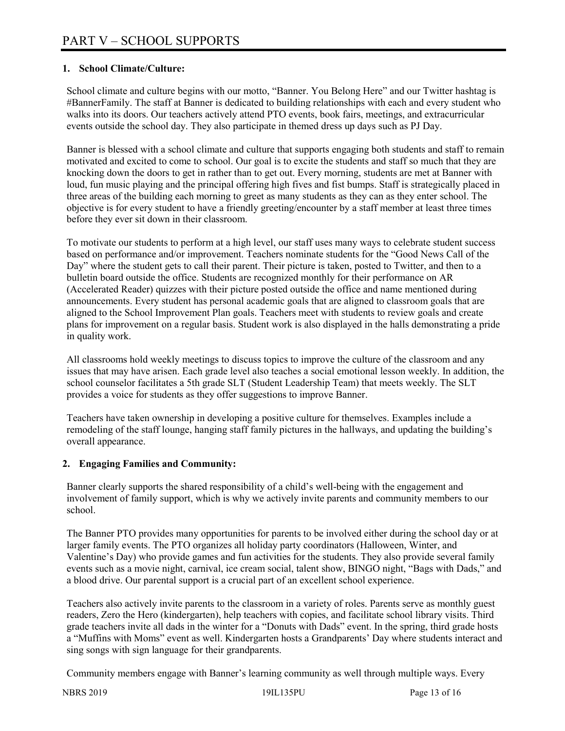# **1. School Climate/Culture:**

School climate and culture begins with our motto, "Banner. You Belong Here" and our Twitter hashtag is #BannerFamily. The staff at Banner is dedicated to building relationships with each and every student who walks into its doors. Our teachers actively attend PTO events, book fairs, meetings, and extracurricular events outside the school day. They also participate in themed dress up days such as PJ Day.

Banner is blessed with a school climate and culture that supports engaging both students and staff to remain motivated and excited to come to school. Our goal is to excite the students and staff so much that they are knocking down the doors to get in rather than to get out. Every morning, students are met at Banner with loud, fun music playing and the principal offering high fives and fist bumps. Staff is strategically placed in three areas of the building each morning to greet as many students as they can as they enter school. The objective is for every student to have a friendly greeting/encounter by a staff member at least three times before they ever sit down in their classroom.

To motivate our students to perform at a high level, our staff uses many ways to celebrate student success based on performance and/or improvement. Teachers nominate students for the "Good News Call of the Day" where the student gets to call their parent. Their picture is taken, posted to Twitter, and then to a bulletin board outside the office. Students are recognized monthly for their performance on AR (Accelerated Reader) quizzes with their picture posted outside the office and name mentioned during announcements. Every student has personal academic goals that are aligned to classroom goals that are aligned to the School Improvement Plan goals. Teachers meet with students to review goals and create plans for improvement on a regular basis. Student work is also displayed in the halls demonstrating a pride in quality work.

All classrooms hold weekly meetings to discuss topics to improve the culture of the classroom and any issues that may have arisen. Each grade level also teaches a social emotional lesson weekly. In addition, the school counselor facilitates a 5th grade SLT (Student Leadership Team) that meets weekly. The SLT provides a voice for students as they offer suggestions to improve Banner.

Teachers have taken ownership in developing a positive culture for themselves. Examples include a remodeling of the staff lounge, hanging staff family pictures in the hallways, and updating the building's overall appearance.

# **2. Engaging Families and Community:**

Banner clearly supports the shared responsibility of a child's well-being with the engagement and involvement of family support, which is why we actively invite parents and community members to our school.

The Banner PTO provides many opportunities for parents to be involved either during the school day or at larger family events. The PTO organizes all holiday party coordinators (Halloween, Winter, and Valentine's Day) who provide games and fun activities for the students. They also provide several family events such as a movie night, carnival, ice cream social, talent show, BINGO night, "Bags with Dads," and a blood drive. Our parental support is a crucial part of an excellent school experience.

Teachers also actively invite parents to the classroom in a variety of roles. Parents serve as monthly guest readers, Zero the Hero (kindergarten), help teachers with copies, and facilitate school library visits. Third grade teachers invite all dads in the winter for a "Donuts with Dads" event. In the spring, third grade hosts a "Muffins with Moms" event as well. Kindergarten hosts a Grandparents' Day where students interact and sing songs with sign language for their grandparents.

Community members engage with Banner's learning community as well through multiple ways. Every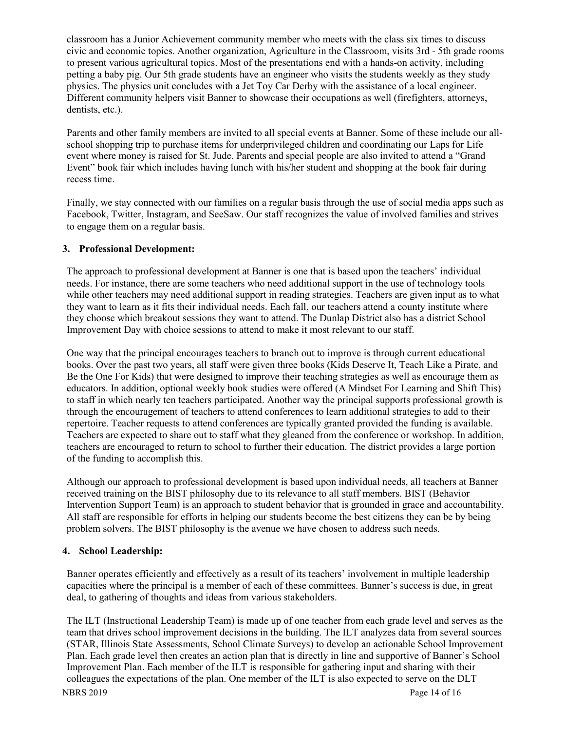classroom has a Junior Achievement community member who meets with the class six times to discuss civic and economic topics. Another organization, Agriculture in the Classroom, visits 3rd - 5th grade rooms to present various agricultural topics. Most of the presentations end with a hands-on activity, including petting a baby pig. Our 5th grade students have an engineer who visits the students weekly as they study physics. The physics unit concludes with a Jet Toy Car Derby with the assistance of a local engineer. Different community helpers visit Banner to showcase their occupations as well (firefighters, attorneys, dentists, etc.).

Parents and other family members are invited to all special events at Banner. Some of these include our allschool shopping trip to purchase items for underprivileged children and coordinating our Laps for Life event where money is raised for St. Jude. Parents and special people are also invited to attend a "Grand Event" book fair which includes having lunch with his/her student and shopping at the book fair during recess time.

Finally, we stay connected with our families on a regular basis through the use of social media apps such as Facebook, Twitter, Instagram, and SeeSaw. Our staff recognizes the value of involved families and strives to engage them on a regular basis.

### **3. Professional Development:**

The approach to professional development at Banner is one that is based upon the teachers' individual needs. For instance, there are some teachers who need additional support in the use of technology tools while other teachers may need additional support in reading strategies. Teachers are given input as to what they want to learn as it fits their individual needs. Each fall, our teachers attend a county institute where they choose which breakout sessions they want to attend. The Dunlap District also has a district School Improvement Day with choice sessions to attend to make it most relevant to our staff.

One way that the principal encourages teachers to branch out to improve is through current educational books. Over the past two years, all staff were given three books (Kids Deserve It, Teach Like a Pirate, and Be the One For Kids) that were designed to improve their teaching strategies as well as encourage them as educators. In addition, optional weekly book studies were offered (A Mindset For Learning and Shift This) to staff in which nearly ten teachers participated. Another way the principal supports professional growth is through the encouragement of teachers to attend conferences to learn additional strategies to add to their repertoire. Teacher requests to attend conferences are typically granted provided the funding is available. Teachers are expected to share out to staff what they gleaned from the conference or workshop. In addition, teachers are encouraged to return to school to further their education. The district provides a large portion of the funding to accomplish this.

Although our approach to professional development is based upon individual needs, all teachers at Banner received training on the BIST philosophy due to its relevance to all staff members. BIST (Behavior Intervention Support Team) is an approach to student behavior that is grounded in grace and accountability. All staff are responsible for efforts in helping our students become the best citizens they can be by being problem solvers. The BIST philosophy is the avenue we have chosen to address such needs.

#### **4. School Leadership:**

Banner operates efficiently and effectively as a result of its teachers' involvement in multiple leadership capacities where the principal is a member of each of these committees. Banner's success is due, in great deal, to gathering of thoughts and ideas from various stakeholders.

NBRS 2019 Page 14 of 16 The ILT (Instructional Leadership Team) is made up of one teacher from each grade level and serves as the team that drives school improvement decisions in the building. The ILT analyzes data from several sources (STAR, Illinois State Assessments, School Climate Surveys) to develop an actionable School Improvement Plan. Each grade level then creates an action plan that is directly in line and supportive of Banner's School Improvement Plan. Each member of the ILT is responsible for gathering input and sharing with their colleagues the expectations of the plan. One member of the ILT is also expected to serve on the DLT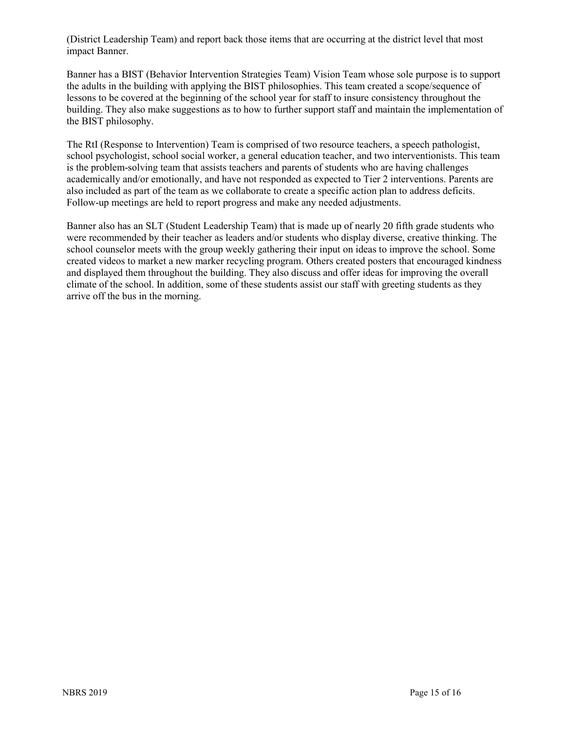(District Leadership Team) and report back those items that are occurring at the district level that most impact Banner.

Banner has a BIST (Behavior Intervention Strategies Team) Vision Team whose sole purpose is to support the adults in the building with applying the BIST philosophies. This team created a scope/sequence of lessons to be covered at the beginning of the school year for staff to insure consistency throughout the building. They also make suggestions as to how to further support staff and maintain the implementation of the BIST philosophy.

The RtI (Response to Intervention) Team is comprised of two resource teachers, a speech pathologist, school psychologist, school social worker, a general education teacher, and two interventionists. This team is the problem-solving team that assists teachers and parents of students who are having challenges academically and/or emotionally, and have not responded as expected to Tier 2 interventions. Parents are also included as part of the team as we collaborate to create a specific action plan to address deficits. Follow-up meetings are held to report progress and make any needed adjustments.

Banner also has an SLT (Student Leadership Team) that is made up of nearly 20 fifth grade students who were recommended by their teacher as leaders and/or students who display diverse, creative thinking. The school counselor meets with the group weekly gathering their input on ideas to improve the school. Some created videos to market a new marker recycling program. Others created posters that encouraged kindness and displayed them throughout the building. They also discuss and offer ideas for improving the overall climate of the school. In addition, some of these students assist our staff with greeting students as they arrive off the bus in the morning.